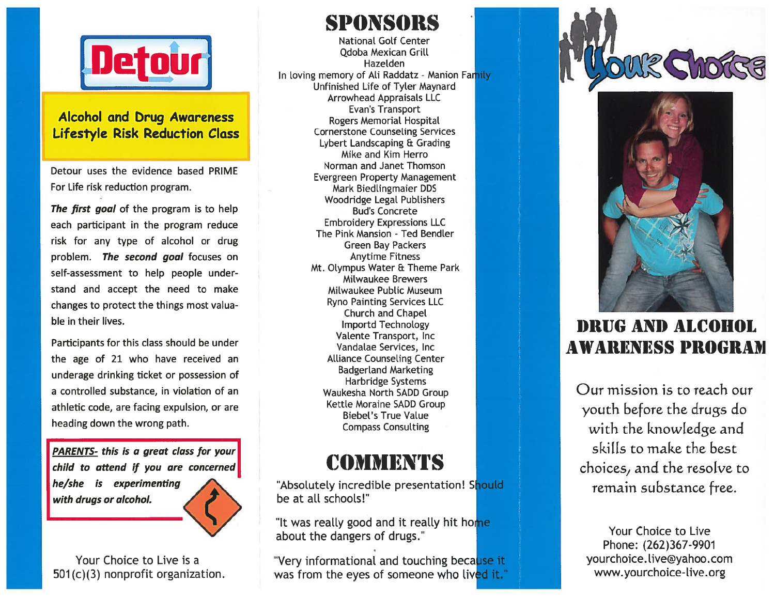

#### Alcohol and brug Awareness Lifestyle Risk Reduction Class

Detour uses the evidence based PRIME For Life risk reduction program.

**The first goal** of the program is to help each participant in the program reduce risk for any type of alcohol or drug problem. The second goal focuses on self-assessment to help people under stand and accep<sup>t</sup> the need to make changes to protect the things most valua ble in their lives.

Participants for this class should be under the age of 21 who have received an underage drinking ticket or possession of a controlled substance, in violation of an athletic code, are facing expulsion, or are heading down the wrong path.

PARENTS- this is a grea<sup>t</sup> class for your child to attend if you are concerned he/she is experimenting with drugs or alcohol.

Your Choice to Live is a501 (c)(3) nonprofit organization.

SPONSORSNational Golf Center Qdoba Mexican Grill HazeldenIn loving memory of Ali Raddatz - Manion Unfinished Life of Tyler Maynard Arrowhead Appraisals LLC Evan's Transport Rogers Memorial Hospital Cornerstone Counseling Services Lybert Landscaping & Grading Mike and Kim Herro Norman and Janet Thomson Evergreen Property Management Mark Biedlingmaier DDS Woodridge Legal Publishers Bud's Concrete Embroidery Expressions LLC The Pink Mansion - Ted Bendler Green Bay Packers Anytime Fitness Mt. Olympus Water & Theme Park Milwaukee Brewers MiLwaukee PubLic MuseumRyno Painting Services LLC Church and Chapel lmportd Technology

Valente Transport, Inc Vandalae Services, Inc Alliance Counseling Center Badgerland Marketing Harbridge Systems Waukesha North SADD Group Kettle Moraine SADD Group Biebel's True Value Compass Consulting

# **COMMENTS**

"Absolutely incredible presentation! Should be at all schools!"

"It was really good and it really hit ho<mark>me</mark> about the dangers of drugs.

"Very informational and touching because it was from the eyes of someone who liv<mark>ed it.</mark>'





# 1)RIJG ANI) ALCOhOL AWARENESS PROGRAM

Our mission is to reach our youth before the drugs do with the knowledge and skills to make the best choices, and the resolve to remain substance free.

Your Choice to Live Phone: (262)367-990<sup>.</sup> yourchoice.live@yahoo.com www.yourchoice-live.org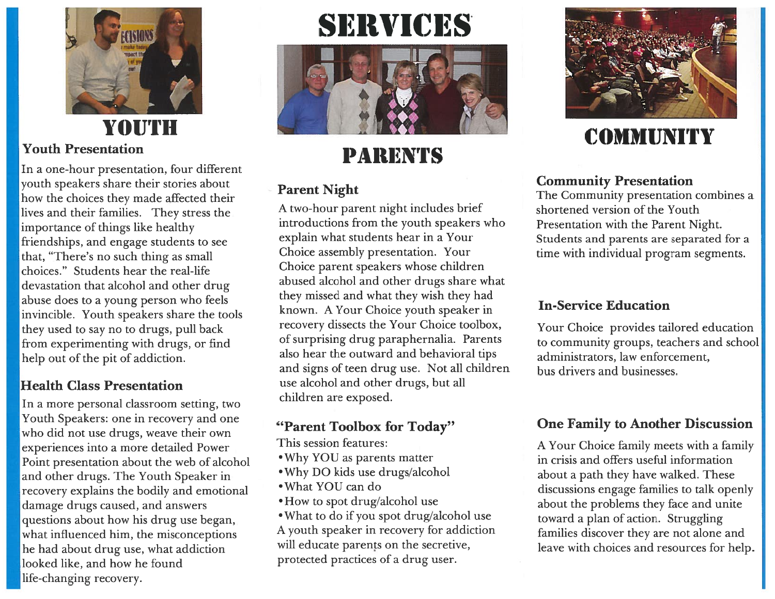

## **YOUTH** Youth Presentation

In a one-hour presentation, four different youth speakers share their stories about how the choices they made affected their lives and their families. They stress the importance of things like healthy friendships, and engage students to see that, "There's no such thing as small choices." Students hear the real-life devastation that alcohol and other drug abuse does to a young person who feels invincible. Youth speakers share the tools they used to say no to drugs, pull back from experimenting with drugs, or find help out of the pit of addiction.

### Health Class Presentation

In a more personal classroom setting, two Youth Speakers: one in recovery and one who did not use drugs, weave their own experiences into a more detailed Power Point presentation about the web of alcohol and other drugs. The Youth Speaker in recovery explains the bodily and emotional damage drugs caused, and answers questions about how his drug use began, what influenced him, the misconceptions he had about drug use, what addiction looked like, and how he found life-changing recovery.

# SERVICES



# PARENTS

### Parent Night

A two-hour paren<sup>t</sup> night includes brief introductions from the youth speakers who explain what students hear in a Your Choice assembly presentation. Your Choice paren<sup>t</sup> speakers whose children abused alcohol and other drugs share what they missed and what they wish they had known. A Your Choice youth speaker in recovery dissects the Your Choice toolbox, of surprising drug paraphernalia. Parents also hear the outward and behavioral tips and signs of teen drug use. Not all children use alcohol and other drugs, but all children are exposed.

### "Parent Toolbox for Today"

This session features:

- •Why YOU as parents matter
- •Why DO kids use drugs/alcohol
- What YOU can do
- •How to spo<sup>t</sup> drug/alcohol use
- 'What to do if you spo<sup>t</sup> drug/alcohol use A youth speaker in recovery for addiction will educate parents on the secretive. protected practices of a drug user.



# **COMMUNITY**

### Community Presentation

The Community presentation combines a shortened version of the Youth Presentation with the Parent Night. Students and parents are separated for a time with individual program segments.

### In-Service Education

Your Choice provides tailored education to community groups, teachers and schoo administrators, law enforcement, bus drivers and businesses.

### One Family to Another Discussion

A Your Choice family meets with a family in crisis and offers useful informationabout a path they have walked. These discussions engage families to talk openly about the problems they face and unite toward a plan of action. Struggling families discover they are not alone and leave with choices and resources for help.